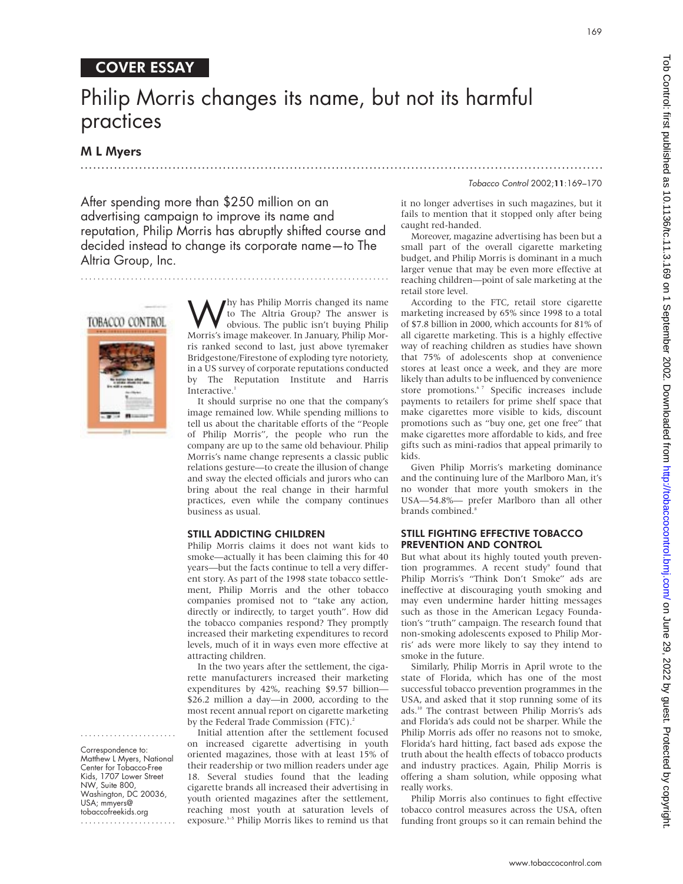### COVER ESSAY

## Philip Morris changes its name, but not its harmful practices

.............................................................................................................................

### M L Myers

Tobacco Control 2002;11:169–170

After spending more than \$250 million on an advertising campaign to improve its name and reputation, Philip Morris has abruptly shifted course and decided instead to change its corporate name—to The Altria Group, Inc.

# TOBACCO CONTROL



....................... Correspondence to: Matthew L Myers, National Center for Tobacco-Free Kids, 1707 Lower Street NW, Suite 800, Washington, DC 20036, USA; mmyers@ tobaccofreekids.org .......................

Why has Philip Morris changed its name<br>to The Altria Group? The answer is<br>obvious. The public isn't buying Philip<br>Morris's image makeover In January Philip Mor to The Altria Group? The answer is obvious. The public isn't buying Philip Morris's image makeover. In January, Philip Morris ranked second to last, just above tyremaker Bridgestone/Firestone of exploding tyre notoriety, in a US survey of corporate reputations conducted by The Reputation Institute and Harris Interactive.<sup>1</sup>

..........................................................................

It should surprise no one that the company's image remained low. While spending millions to tell us about the charitable efforts of the "People of Philip Morris", the people who run the company are up to the same old behaviour. Philip Morris's name change represents a classic public relations gesture—to create the illusion of change and sway the elected officials and jurors who can bring about the real change in their harmful practices, even while the company continues business as usual.

### STILL ADDICTING CHILDREN

Philip Morris claims it does not want kids to smoke—actually it has been claiming this for 40 years—but the facts continue to tell a very different story. As part of the 1998 state tobacco settlement, Philip Morris and the other tobacco companies promised not to "take any action, directly or indirectly, to target youth". How did the tobacco companies respond? They promptly increased their marketing expenditures to record levels, much of it in ways even more effective at attracting children.

In the two years after the settlement, the cigarette manufacturers increased their marketing expenditures by 42%, reaching \$9.57 billion— \$26.2 million a day—in 2000, according to the most recent annual report on cigarette marketing by the Federal Trade Commission (FTC).<sup>2</sup>

Initial attention after the settlement focused on increased cigarette advertising in youth oriented magazines, those with at least 15% of their readership or two million readers under age 18. Several studies found that the leading cigarette brands all increased their advertising in youth oriented magazines after the settlement, reaching most youth at saturation levels of exposure.<sup>3-5</sup> Philip Morris likes to remind us that

it no longer advertises in such magazines, but it fails to mention that it stopped only after being caught red-handed.

Moreover, magazine advertising has been but a small part of the overall cigarette marketing budget, and Philip Morris is dominant in a much larger venue that may be even more effective at reaching children—point of sale marketing at the retail store level.

According to the FTC, retail store cigarette marketing increased by 65% since 1998 to a total of \$7.8 billion in 2000, which accounts for 81% of all cigarette marketing. This is a highly effective way of reaching children as studies have shown that 75% of adolescents shop at convenience stores at least once a week, and they are more likely than adults to be influenced by convenience store promotions.<sup>67</sup> Specific increases include payments to retailers for prime shelf space that make cigarettes more visible to kids, discount promotions such as "buy one, get one free" that make cigarettes more affordable to kids, and free gifts such as mini-radios that appeal primarily to kids.

Given Philip Morris's marketing dominance and the continuing lure of the Marlboro Man, it's no wonder that more youth smokers in the USA—54.8%— prefer Marlboro than all other brands combined.<sup>8</sup>

### STILL FIGHTING EFFECTIVE TOBACCO PREVENTION AND CONTROL

But what about its highly touted youth prevention programmes. A recent study<sup>9</sup> found that Philip Morris's "Think Don't Smoke" ads are ineffective at discouraging youth smoking and may even undermine harder hitting messages such as those in the American Legacy Foundation's "truth" campaign. The research found that non-smoking adolescents exposed to Philip Morris' ads were more likely to say they intend to smoke in the future.

Similarly, Philip Morris in April wrote to the state of Florida, which has one of the most successful tobacco prevention programmes in the USA, and asked that it stop running some of its ads.10 The contrast between Philip Morris's ads and Florida's ads could not be sharper. While the Philip Morris ads offer no reasons not to smoke, Florida's hard hitting, fact based ads expose the truth about the health effects of tobacco products and industry practices. Again, Philip Morris is offering a sham solution, while opposing what really works.

Philip Morris also continues to fight effective tobacco control measures across the USA, often funding front groups so it can remain behind the